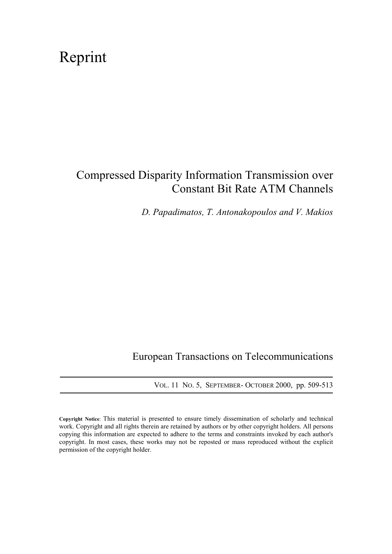# Reprint

### Compressed Disparity Information Transmission over Constant Bit Rate ATM Channels

*D. Papadimatos, T. Antonakopoulos and V. Makios* 

European Transactions on Telecommunications

VOL. 11 NO. 5, SEPTEMBER- OCTOBER 2000, pp. 509-513

**Copyright Notice**: This material is presented to ensure timely dissemination of scholarly and technical work. Copyright and all rights therein are retained by authors or by other copyright holders. All persons copying this information are expected to adhere to the terms and constraints invoked by each author's copyright. In most cases, these works may not be reposted or mass reproduced without the explicit permission of the copyright holder.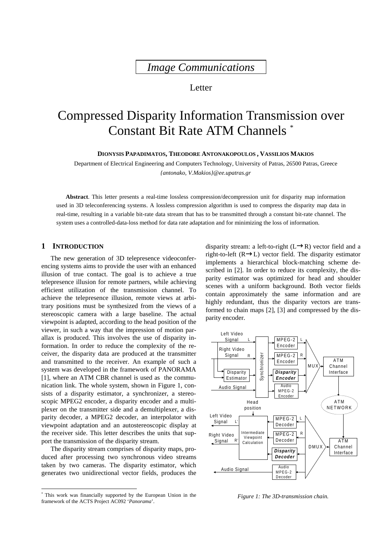### *Image Communications*

#### Letter

## Compressed Disparity Information Transmission over Constant Bit Rate ATM Channels \*

**DIONYSIS PAPADIMATOS, THEODORE ANTONAKOPOULOS , VASSILIOS MAKIOS**

Department of Electrical Engineering and Computers Technology, University of Patras, 26500 Patras, Greece *{antonako, V.Makios}@ee.upatras.gr*

**Abstract**. This letter presents a real-time lossless compression/decompression unit for disparity map information used in 3D teleconferencing systems. A lossless compression algorithm is used to compress the disparity map data in real-time, resulting in a variable bit-rate data stream that has to be transmitted through a constant bit-rate channel. The system uses a controlled-data-loss method for data rate adaptation and for minimizing the loss of information.

#### **1 INTRODUCTION**

-

The new generation of 3D telepresence videoconferencing systems aims to provide the user with an enhanced illusion of true contact. The goal is to achieve a true telepresence illusion for remote partners, while achieving efficient utilization of the transmission channel. To achieve the telepresence illusion, remote views at arbitrary positions must be synthesized from the views of a stereoscopic camera with a large baseline. The actual viewpoint is adapted, according to the head position of the viewer, in such a way that the impression of motion parallax is produced. This involves the use of disparity information. In order to reduce the complexity of the receiver, the disparity data are produced at the transmitter and transmitted to the receiver. An example of such a system was developed in the framework of PANORAMA [1], where an ATM CBR channel is used as the communication link. The whole system, shown in Figure 1, consists of a disparity estimator, a synchronizer, a stereoscopic MPEG2 encoder, a disparity encoder and a multiplexer on the transmitter side and a demultiplexer, a disparity decoder, a MPEG2 decoder, an interpolator with viewpoint adaptation and an autostereoscopic display at the receiver side. This letter describes the units that support the transmission of the disparity stream.

The disparity stream comprises of disparity maps, produced after processing two synchronous video streams taken by two cameras. The disparity estimator, which generates two unidirectional vector fields, produces the disparity stream: a left-to-right  $(L\rightarrow R)$  vector field and a right-to-left  $(R\rightarrow L)$  vector field. The disparity estimator implements a hierarchical block-matching scheme described in [2]. In order to reduce its complexity, the disparity estimator was optimized for head and shoulder scenes with a uniform background. Both vector fields contain approximately the same information and are highly redundant, thus the disparity vectors are transformed to chain maps [2], [3] and compressed by the disparity encoder.



*Figure 1: The 3D-transmission chain.*

<sup>\*</sup> This work was financially supported by the European Union in the framework of the ACTS Project AC092 '*Panorama*'.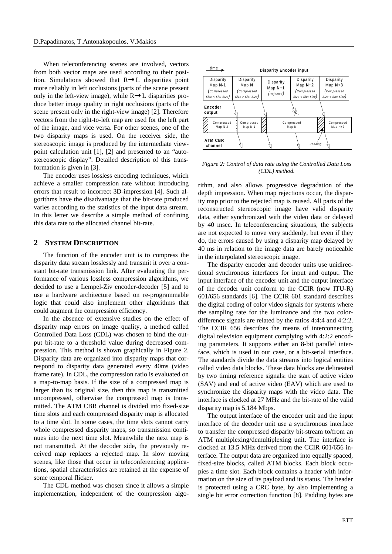When teleconferencing scenes are involved, vectors from both vector maps are used according to their position. Simulations showed that  $R\rightarrow L$  disparities point more reliably in left occlusions (parts of the scene present only in the left-view image), while  $R\rightarrow L$  disparities produce better image quality in right occlusions (parts of the scene present only in the right-view image) [2]. Therefore vectors from the right-to-left map are used for the left part of the image, and vice versa. For other scenes, one of the two disparity maps is used. On the receiver side, the stereoscopic image is produced by the intermediate viewpoint calculation unit [1], [2] and presented to an "autostereoscopic display". Detailed description of this transformation is given in [3].

The encoder uses lossless encoding techniques, which achieve a smaller compression rate without introducing errors that result to incorrect 3D-impression [4]. Such algorithms have the disadvantage that the bit-rate produced varies according to the statistics of the input data stream. In this letter we describe a simple method of confining this data rate to the allocated channel bit-rate.

#### **2 SYSTEM DESCRIPTION**

The function of the encoder unit is to compress the disparity data stream losslessly and transmit it over a constant bit-rate transmission link. After evaluating the performance of various lossless compression algorithms, we decided to use a Lempel-Ziv encoder-decoder [5] and to use a hardware architecture based on re-programmable logic that could also implement other algorithms that could augment the compression efficiency.

In the absence of extensive studies on the effect of disparity map errors on image quality, a method called Controlled Data Loss (CDL) was chosen to bind the output bit-rate to a threshold value during decreased compression. This method is shown graphically in Figure 2. Disparity data are organized into disparity maps that correspond to disparity data generated every 40ms (video frame rate). In CDL, the compression ratio is evaluated on a map-to-map basis. If the size of a compressed map is larger than its original size, then this map is transmitted uncompressed, otherwise the compressed map is transmitted. The ATM CBR channel is divided into fixed-size time slots and each compressed disparity map is allocated to a time slot. In some cases, the time slots cannot carry whole compressed disparity maps, so transmission continues into the next time slot. Meanwhile the next map is not transmitted. At the decoder side, the previously received map replaces a rejected map. In slow moving scenes, like those that occur in teleconferencing applications, spatial characteristics are retained at the expense of some temporal flicker.

The CDL method was chosen since it allows a simple implementation, independent of the compression algo-



*Figure 2: Control of data rate using the Controlled Data Loss (CDL) method.*

rithm, and also allows progressive degradation of the depth impression. When map rejections occur, the disparity map prior to the rejected map is reused. All parts of the reconstructed stereoscopic image have valid disparity data, either synchronized with the video data or delayed by 40 msec. In teleconferencing situations, the subjects are not expected to move very suddenly, but even if they do, the errors caused by using a disparity map delayed by 40 ms in relation to the image data are barely noticeable in the interpolated stereoscopic image.

The disparity encoder and decoder units use unidirectional synchronous interfaces for input and output. The input interface of the encoder unit and the output interface of the decoder unit conform to the CCIR (now ITU-R) 601/656 standards [6]. The CCIR 601 standard describes the digital coding of color video signals for systems where the sampling rate for the luminance and the two colordifference signals are related by the ratios 4:4:4 and 4:2:2. The CCIR 656 describes the means of interconnecting digital television equipment complying with 4:2:2 encoding parameters. It supports either an 8-bit parallel interface, which is used in our case, or a bit-serial interface. The standards divide the data streams into logical entities called video data blocks. These data blocks are delineated by two timing reference signals: the start of active video (SAV) and end of active video (EAV) which are used to synchronize the disparity maps with the video data. The interface is clocked at 27 MHz and the bit-rate of the valid disparity map is 5.184 Mbps.

The output interface of the encoder unit and the input interface of the decoder unit use a synchronous interface to transfer the compressed disparity bit-stream to/from an ATM multiplexing/demultiplexing unit. The interface is clocked at 13.5 MHz derived from the CCIR 601/656 interface. The output data are organized into equally spaced, fixed-size blocks, called ATM blocks. Each block occupies a time slot. Each block contains a header with information on the size of its payload and its status. The header is protected using a CRC byte, by also implementing a single bit error correction function [8]. Padding bytes are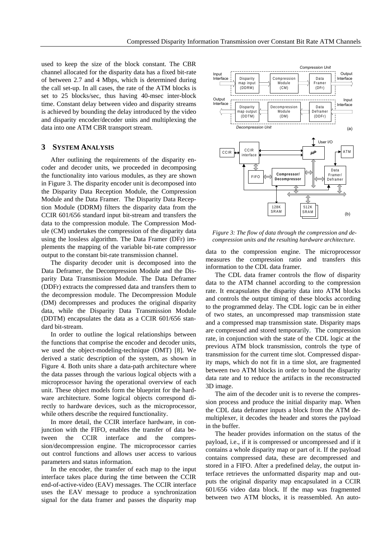used to keep the size of the block constant. The CBR channel allocated for the disparity data has a fixed bit-rate of between 2.7 and 4 Mbps, which is determined during the call set-up. In all cases, the rate of the ATM blocks is set to 25 blocks/sec, thus having 40-msec inter-block time. Constant delay between video and disparity streams is achieved by bounding the delay introduced by the video and disparity encoder/decoder units and multiplexing the data into one ATM CBR transport stream.

#### **3 SYSTEM ANALYSIS**

After outlining the requirements of the disparity encoder and decoder units, we proceeded in decomposing the functionality into various modules, as they are shown in Figure 3. The disparity encoder unit is decomposed into the Disparity Data Reception Module, the Compression Module and the Data Framer. The Disparity Data Reception Module (DDRM) filters the disparity data from the CCIR 601/656 standard input bit-stream and transfers the data to the compression module. The Compression Module (CM) undertakes the compression of the disparity data using the lossless algorithm. The Data Framer (DFr) implements the mapping of the variable bit-rate compressor output to the constant bit-rate transmission channel.

The disparity decoder unit is decomposed into the Data Deframer, the Decompression Module and the Disparity Data Transmission Module. The Data Deframer (DDFr) extracts the compressed data and transfers them to the decompression module. The Decompression Module (DM) decompresses and produces the original disparity data, while the Disparity Data Transmission Module (DDTM) encapsulates the data as a CCIR 601/656 standard bit-stream.

In order to outline the logical relationships between the functions that comprise the encoder and decoder units, we used the object-modeling-technique (OMT) [8]. We derived a static description of the system, as shown in Figure 4. Both units share a data-path architecture where the data passes through the various logical objects with a microprocessor having the operational overview of each unit. These object models form the blueprint for the hardware architecture. Some logical objects correspond directly to hardware devices, such as the microprocessor, while others describe the required functionality.

In more detail, the CCIR interface hardware, in conjunction with the FIFO, enables the transfer of data between the CCIR interface and the compression/decompression engine. The microprocessor carries out control functions and allows user access to various parameters and status information.

In the encoder, the transfer of each map to the input interface takes place during the time between the CCIR end-of-active-video (EAV) messages. The CCIR interface uses the EAV message to produce a synchronization signal for the data framer and passes the disparity map



 *Figure 3: The flow of data through the compression and decompression units and the resulting hardware architecture.*

data to the compression engine. The microprocessor measures the compression ratio and transfers this information to the CDL data framer.

The CDL data framer controls the flow of disparity data to the ATM channel according to the compression rate. It encapsulates the disparity data into ATM blocks and controls the output timing of these blocks according to the programmed delay. The CDL logic can be in either of two states, an uncompressed map transmission state and a compressed map transmission state. Disparity maps are compressed and stored temporarily. The compression rate, in conjunction with the state of the CDL logic at the previous ATM block transmission, controls the type of transmission for the current time slot. Compressed disparity maps, which do not fit in a time slot, are fragmented between two ATM blocks in order to bound the disparity data rate and to reduce the artifacts in the reconstructed 3D image.

The aim of the decoder unit is to reverse the compression process and produce the initial disparity map. When the CDL data deframer inputs a block from the ATM demultiplexer, it decodes the header and stores the payload in the buffer.

The header provides information on the status of the payload, i.e., if it is compressed or uncompressed and if it contains a whole disparity map or part of it. If the payload contains compressed data, these are decompressed and stored in a FIFO. After a predefined delay, the output interface retrieves the unformatted disparity map and outputs the original disparity map encapsulated in a CCIR 601/656 video data block. If the map was fragmented between two ATM blocks, it is reassembled. An auto-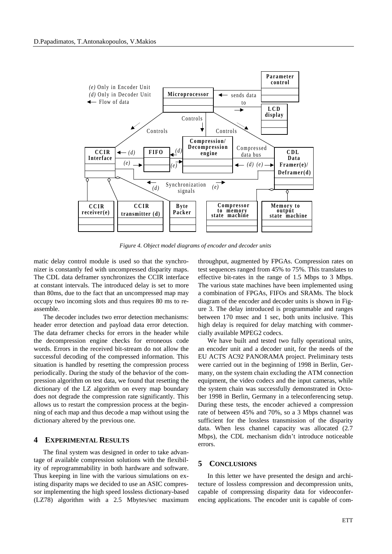

*Figure 4. Object model diagrams of encoder and decoder units*

matic delay control module is used so that the synchronizer is constantly fed with uncompressed disparity maps. The CDL data deframer synchronizes the CCIR interface at constant intervals. The introduced delay is set to more than 80ms, due to the fact that an uncompressed map may occupy two incoming slots and thus requires 80 ms to reassemble.

The decoder includes two error detection mechanisms: header error detection and payload data error detection. The data deframer checks for errors in the header while the decompression engine checks for erroneous code words. Errors in the received bit-stream do not allow the successful decoding of the compressed information. This situation is handled by resetting the compression process periodically. During the study of the behavior of the compression algorithm on test data, we found that resetting the dictionary of the LZ algorithm on every map boundary does not degrade the compression rate significantly. This allows us to restart the compression process at the beginning of each map and thus decode a map without using the dictionary altered by the previous one.

#### **4 EXPERIMENTAL RESULTS**

The final system was designed in order to take advantage of available compression solutions with the flexibility of reprogrammability in both hardware and software. Thus keeping in line with the various simulations on existing disparity maps we decided to use an ASIC compressor implementing the high speed lossless dictionary-based (LZ78) algorithm with a 2.5 Mbytes/sec maximum

throughput, augmented by FPGAs. Compression rates on test sequences ranged from 45% to 75%. This translates to effective bit-rates in the range of 1.5 Mbps to 3 Mbps. The various state machines have been implemented using a combination of FPGAs, FIFOs and SRAMs. The block diagram of the encoder and decoder units is shown in Figure 3. The delay introduced is programmable and ranges between 170 msec and 1 sec, both units inclusive. This high delay is required for delay matching with commercially available MPEG2 codecs.

We have built and tested two fully operational units, an encoder unit and a decoder unit, for the needs of the EU ACTS AC92 PANORAMA project. Preliminary tests were carried out in the beginning of 1998 in Berlin, Germany, on the system chain excluding the ATM connection equipment, the video codecs and the input cameras, while the system chain was successfully demonstrated in October 1998 in Berlin, Germany in a teleconferencing setup. During these tests, the encoder achieved a compression rate of between 45% and 70%, so a 3 Mbps channel was sufficient for the lossless transmission of the disparity data. When less channel capacity was allocated (2.7 Mbps), the CDL mechanism didn't introduce noticeable errors.

#### **5 CONCLUSIONS**

In this letter we have presented the design and architecture of lossless compression and decompression units, capable of compressing disparity data for videoconferencing applications. The encoder unit is capable of com-